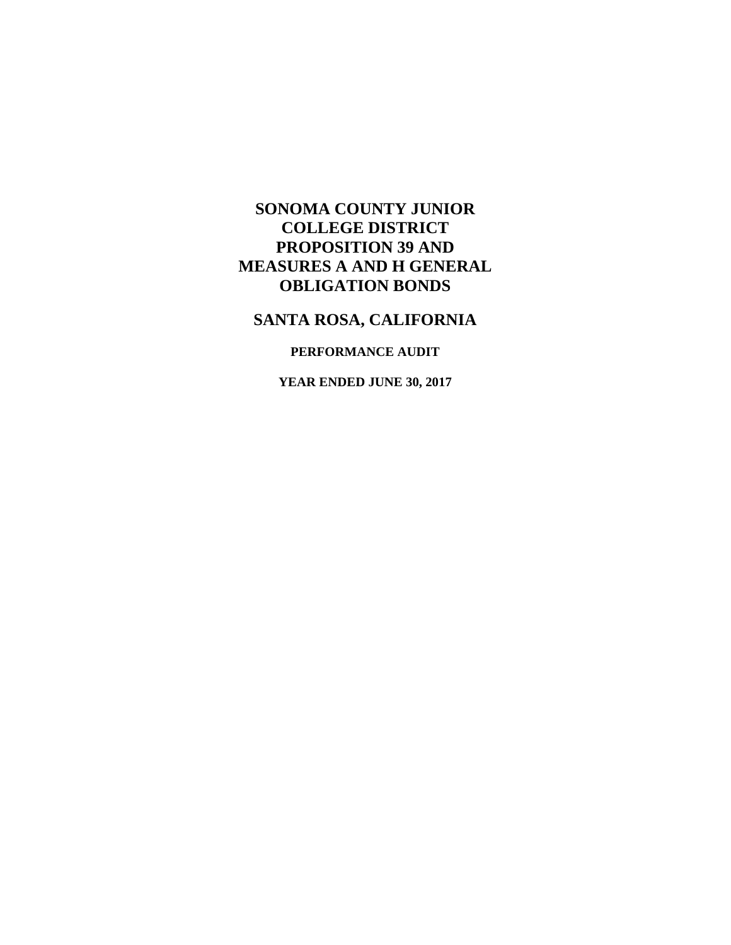## **SANTA ROSA, CALIFORNIA**

### **PERFORMANCE AUDIT**

**YEAR ENDED JUNE 30, 2017**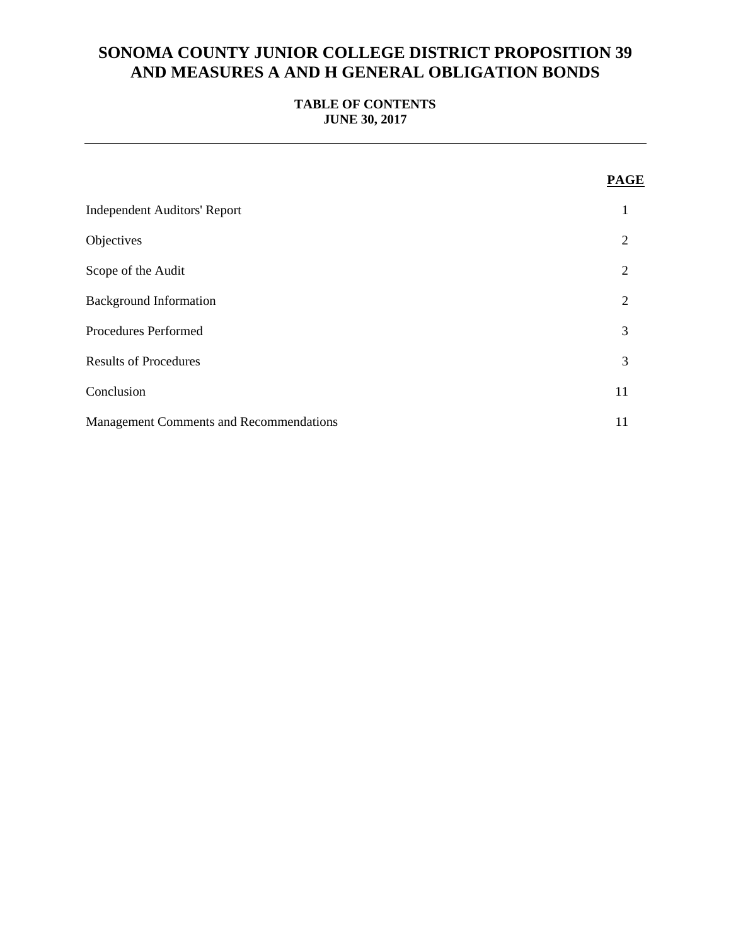#### **TABLE OF CONTENTS JUNE 30, 2017**

|                                                | <b>PAGE</b>    |
|------------------------------------------------|----------------|
| <b>Independent Auditors' Report</b>            | 1              |
| Objectives                                     | 2              |
| Scope of the Audit                             | $\overline{2}$ |
| <b>Background Information</b>                  | 2              |
| Procedures Performed                           | 3              |
| <b>Results of Procedures</b>                   | 3              |
| Conclusion                                     | 11             |
| <b>Management Comments and Recommendations</b> | 11             |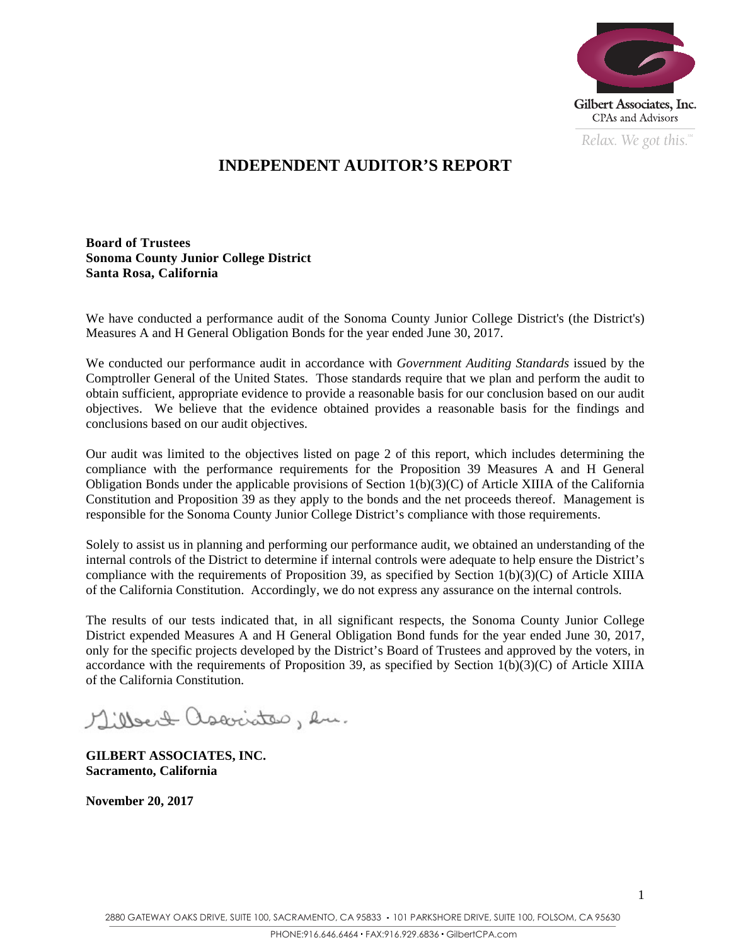

*Relax. We got this.*  $\alpha$ 

## **INDEPENDENT AUDITOR'S REPORT**

**Board of Trustees Sonoma County Junior College District Santa Rosa, California** 

We have conducted a performance audit of the Sonoma County Junior College District's (the District's) Measures A and H General Obligation Bonds for the year ended June 30, 2017.

We conducted our performance audit in accordance with *Government Auditing Standards* issued by the Comptroller General of the United States. Those standards require that we plan and perform the audit to obtain sufficient, appropriate evidence to provide a reasonable basis for our conclusion based on our audit objectives. We believe that the evidence obtained provides a reasonable basis for the findings and conclusions based on our audit objectives.

Our audit was limited to the objectives listed on page 2 of this report, which includes determining the compliance with the performance requirements for the Proposition 39 Measures A and H General Obligation Bonds under the applicable provisions of Section  $1(b)(3)(C)$  of Article XIIIA of the California Constitution and Proposition 39 as they apply to the bonds and the net proceeds thereof. Management is responsible for the Sonoma County Junior College District's compliance with those requirements.

Solely to assist us in planning and performing our performance audit, we obtained an understanding of the internal controls of the District to determine if internal controls were adequate to help ensure the District's compliance with the requirements of Proposition 39, as specified by Section 1(b)(3)(C) of Article XIIIA of the California Constitution. Accordingly, we do not express any assurance on the internal controls.

The results of our tests indicated that, in all significant respects, the Sonoma County Junior College District expended Measures A and H General Obligation Bond funds for the year ended June 30, 2017, only for the specific projects developed by the District's Board of Trustees and approved by the voters, in accordance with the requirements of Proposition 39, as specified by Section 1(b)(3)(C) of Article XIIIA of the California Constitution.

Milbert associates, hu.

**GILBERT ASSOCIATES, INC. Sacramento, California** 

**November 20, 2017**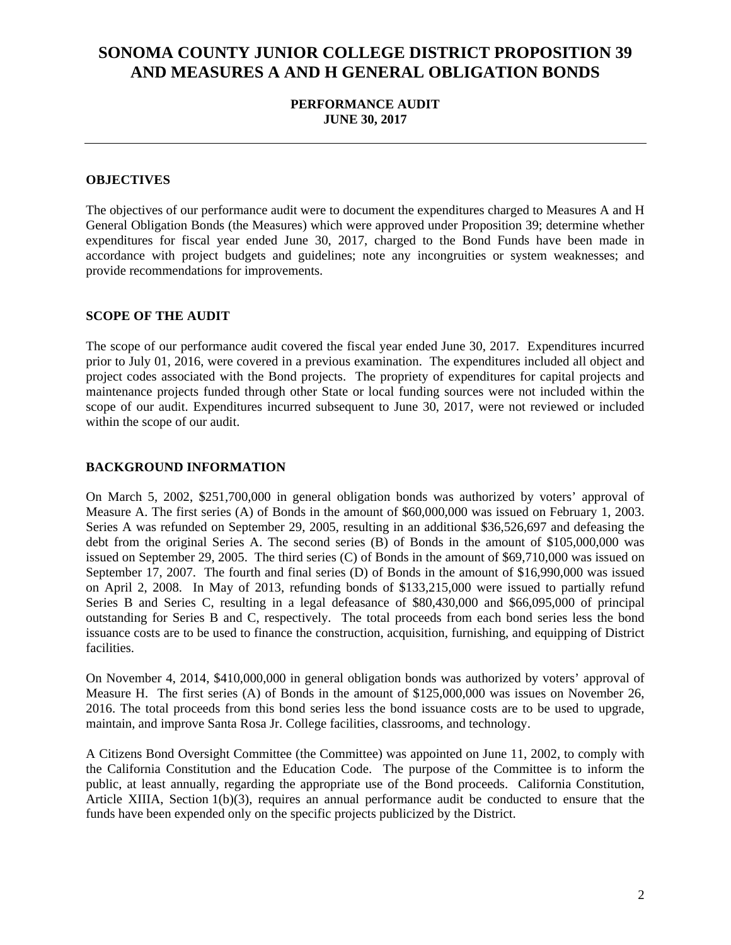#### **PERFORMANCE AUDIT JUNE 30, 2017**

#### **OBJECTIVES**

The objectives of our performance audit were to document the expenditures charged to Measures A and H General Obligation Bonds (the Measures) which were approved under Proposition 39; determine whether expenditures for fiscal year ended June 30, 2017, charged to the Bond Funds have been made in accordance with project budgets and guidelines; note any incongruities or system weaknesses; and provide recommendations for improvements.

#### **SCOPE OF THE AUDIT**

The scope of our performance audit covered the fiscal year ended June 30, 2017. Expenditures incurred prior to July 01, 2016, were covered in a previous examination. The expenditures included all object and project codes associated with the Bond projects. The propriety of expenditures for capital projects and maintenance projects funded through other State or local funding sources were not included within the scope of our audit. Expenditures incurred subsequent to June 30, 2017, were not reviewed or included within the scope of our audit.

#### **BACKGROUND INFORMATION**

On March 5, 2002, \$251,700,000 in general obligation bonds was authorized by voters' approval of Measure A. The first series (A) of Bonds in the amount of \$60,000,000 was issued on February 1, 2003. Series A was refunded on September 29, 2005, resulting in an additional \$36,526,697 and defeasing the debt from the original Series A. The second series (B) of Bonds in the amount of \$105,000,000 was issued on September 29, 2005. The third series (C) of Bonds in the amount of \$69,710,000 was issued on September 17, 2007. The fourth and final series (D) of Bonds in the amount of \$16,990,000 was issued on April 2, 2008. In May of 2013, refunding bonds of \$133,215,000 were issued to partially refund Series B and Series C, resulting in a legal defeasance of \$80,430,000 and \$66,095,000 of principal outstanding for Series B and C, respectively. The total proceeds from each bond series less the bond issuance costs are to be used to finance the construction, acquisition, furnishing, and equipping of District facilities.

On November 4, 2014, \$410,000,000 in general obligation bonds was authorized by voters' approval of Measure H. The first series (A) of Bonds in the amount of \$125,000,000 was issues on November 26, 2016. The total proceeds from this bond series less the bond issuance costs are to be used to upgrade, maintain, and improve Santa Rosa Jr. College facilities, classrooms, and technology.

A Citizens Bond Oversight Committee (the Committee) was appointed on June 11, 2002, to comply with the California Constitution and the Education Code. The purpose of the Committee is to inform the public, at least annually, regarding the appropriate use of the Bond proceeds. California Constitution, Article XIIIA, Section 1(b)(3), requires an annual performance audit be conducted to ensure that the funds have been expended only on the specific projects publicized by the District.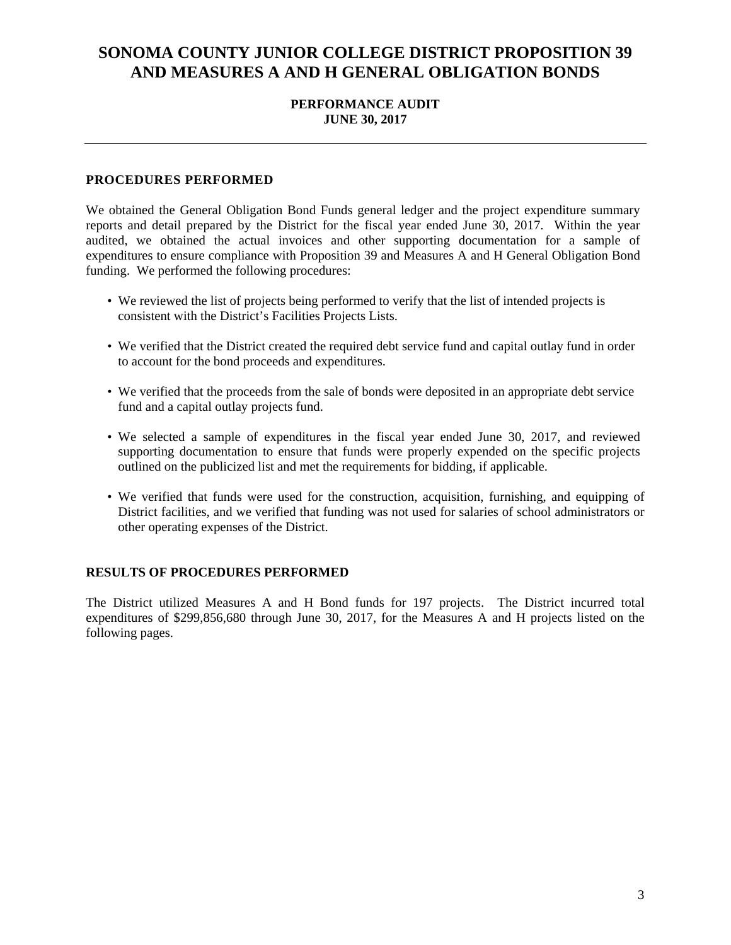#### **PERFORMANCE AUDIT JUNE 30, 2017**

#### **PROCEDURES PERFORMED**

We obtained the General Obligation Bond Funds general ledger and the project expenditure summary reports and detail prepared by the District for the fiscal year ended June 30, 2017. Within the year audited, we obtained the actual invoices and other supporting documentation for a sample of expenditures to ensure compliance with Proposition 39 and Measures A and H General Obligation Bond funding. We performed the following procedures:

- We reviewed the list of projects being performed to verify that the list of intended projects is consistent with the District's Facilities Projects Lists.
- We verified that the District created the required debt service fund and capital outlay fund in order to account for the bond proceeds and expenditures.
- We verified that the proceeds from the sale of bonds were deposited in an appropriate debt service fund and a capital outlay projects fund.
- We selected a sample of expenditures in the fiscal year ended June 30, 2017, and reviewed supporting documentation to ensure that funds were properly expended on the specific projects outlined on the publicized list and met the requirements for bidding, if applicable.
- We verified that funds were used for the construction, acquisition, furnishing, and equipping of District facilities, and we verified that funding was not used for salaries of school administrators or other operating expenses of the District.

#### **RESULTS OF PROCEDURES PERFORMED**

The District utilized Measures A and H Bond funds for 197 projects. The District incurred total expenditures of \$299,856,680 through June 30, 2017, for the Measures A and H projects listed on the following pages.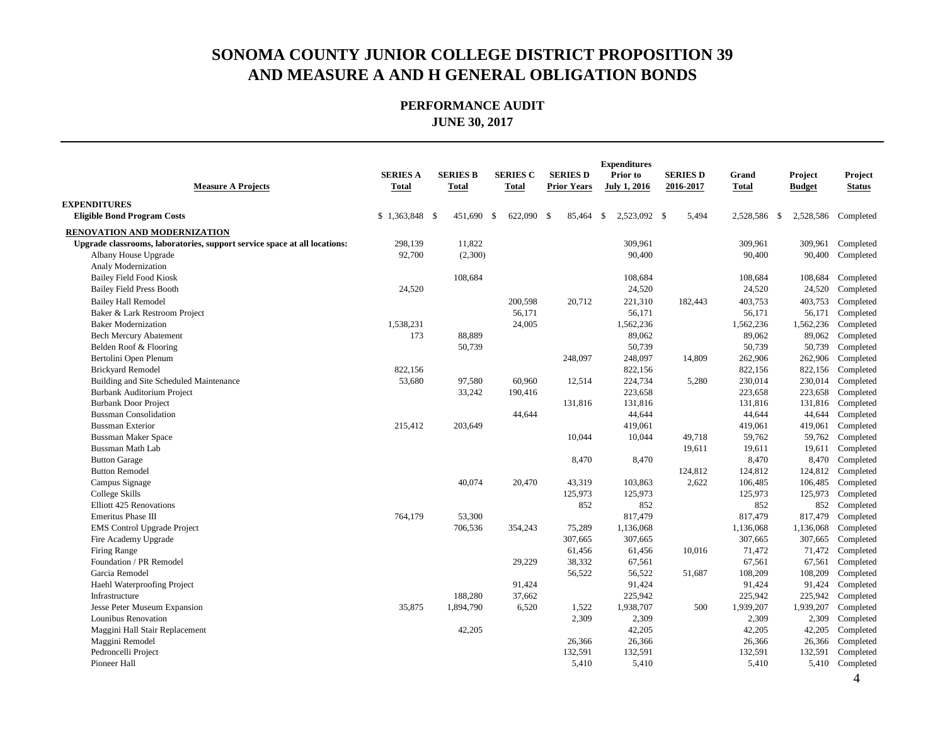| <b>Measure A Projects</b>                                                 | <b>SERIES A</b><br><b>Total</b> | <b>SERIES B</b><br>Total | <b>SERIES C</b><br><b>Total</b> | <b>SERIES D</b><br><b>Prior Years</b> | <b>Expenditures</b><br>Prior to<br><b>July 1, 2016</b> | <b>SERIES D</b><br>2016-2017 | Grand<br><b>Total</b> | Project<br><b>Budget</b> | Project<br><b>Status</b> |
|---------------------------------------------------------------------------|---------------------------------|--------------------------|---------------------------------|---------------------------------------|--------------------------------------------------------|------------------------------|-----------------------|--------------------------|--------------------------|
| <b>EXPENDITURES</b>                                                       |                                 |                          |                                 |                                       |                                                        |                              |                       |                          |                          |
| <b>Eligible Bond Program Costs</b>                                        | $$1,363,848$ \ \$               | 451,690                  | -\$<br>622,090                  | -\$<br>85,464                         | 2,523,092 \$<br>\$                                     | 5,494                        | 2,528,586 \$          |                          | 2,528,586 Completed      |
| <b>RENOVATION AND MODERNIZATION</b>                                       |                                 |                          |                                 |                                       |                                                        |                              |                       |                          |                          |
| Upgrade classrooms, laboratories, support service space at all locations: | 298,139                         | 11,822                   |                                 |                                       | 309,961                                                |                              | 309,961               | 309,961                  | Completed                |
| Albany House Upgrade                                                      | 92,700                          | (2,300)                  |                                 |                                       | 90,400                                                 |                              | 90,400                | 90,400                   | Completed                |
| Analy Modernization                                                       |                                 |                          |                                 |                                       |                                                        |                              |                       |                          |                          |
| <b>Bailey Field Food Kiosk</b>                                            |                                 | 108,684                  |                                 |                                       | 108,684                                                |                              | 108,684               | 108,684                  | Completed                |
| <b>Bailey Field Press Booth</b>                                           | 24,520                          |                          |                                 |                                       | 24,520                                                 |                              | 24,520                | 24,520                   | Completed                |
| <b>Bailey Hall Remodel</b>                                                |                                 |                          | 200,598                         | 20,712                                | 221,310                                                | 182,443                      | 403,753               | 403,753                  | Completed                |
| Baker & Lark Restroom Project                                             |                                 |                          | 56,171                          |                                       | 56,171                                                 |                              | 56,171                | 56,171                   | Completed                |
| <b>Baker Modernization</b>                                                | 1,538,231                       |                          | 24,005                          |                                       | 1,562,236                                              |                              | 1,562,236             | 1,562,236                | Completed                |
| <b>Bech Mercury Abatement</b>                                             | 173                             | 88,889                   |                                 |                                       | 89,062                                                 |                              | 89,062                | 89,062                   | Completed                |
| Belden Roof & Flooring                                                    |                                 | 50,739                   |                                 |                                       | 50,739                                                 |                              | 50,739                | 50,739                   | Completed                |
| Bertolini Open Plenum                                                     |                                 |                          |                                 | 248,097                               | 248,097                                                | 14,809                       | 262,906               | 262,906                  | Completed                |
| <b>Brickyard Remodel</b>                                                  | 822,156                         |                          |                                 |                                       | 822,156                                                |                              | 822,156               | 822,156                  | Completed                |
| Building and Site Scheduled Maintenance                                   | 53,680                          | 97,580                   | 60,960                          | 12,514                                | 224,734                                                | 5,280                        | 230,014               | 230,014                  | Completed                |
| Burbank Auditorium Project                                                |                                 | 33,242                   | 190,416                         |                                       | 223,658                                                |                              | 223,658               | 223,658                  | Completed                |
| <b>Burbank Door Project</b>                                               |                                 |                          |                                 | 131,816                               | 131,816                                                |                              | 131,816               | 131,816                  | Completed                |
| <b>Bussman Consolidation</b>                                              |                                 |                          | 44,644                          |                                       | 44,644                                                 |                              | 44,644                | 44,644                   | Completed                |
| <b>Bussman Exterior</b>                                                   | 215,412                         | 203,649                  |                                 |                                       | 419,061                                                |                              | 419,061               | 419,061                  | Completed                |
| <b>Bussman Maker Space</b>                                                |                                 |                          |                                 | 10,044                                | 10,044                                                 | 49,718                       | 59,762                | 59,762                   | Completed                |
| <b>Bussman Math Lab</b>                                                   |                                 |                          |                                 |                                       |                                                        | 19,611                       | 19,611                | 19,611                   | Completed                |
| <b>Button Garage</b>                                                      |                                 |                          |                                 | 8,470                                 | 8,470                                                  |                              | 8,470                 | 8,470                    | Completed                |
| <b>Button Remodel</b>                                                     |                                 |                          |                                 |                                       |                                                        | 124,812                      | 124,812               | 124,812                  | Completed                |
| Campus Signage                                                            |                                 | 40,074                   | 20,470                          | 43,319                                | 103,863                                                | 2,622                        | 106,485               | 106,485                  | Completed                |
| College Skills                                                            |                                 |                          |                                 | 125,973                               | 125,973                                                |                              | 125,973               | 125,973                  | Completed                |
| Elliott 425 Renovations                                                   |                                 |                          |                                 | 852                                   | 852                                                    |                              | 852                   | 852                      | Completed                |
| Emeritus Phase III                                                        | 764,179                         | 53,300                   |                                 |                                       | 817,479                                                |                              | 817,479               | 817,479                  | Completed                |
| <b>EMS</b> Control Upgrade Project                                        |                                 | 706,536                  | 354,243                         | 75,289                                | 1,136,068                                              |                              | 1,136,068             | 1,136,068                | Completed                |
| Fire Academy Upgrade                                                      |                                 |                          |                                 | 307,665                               | 307,665                                                |                              | 307,665               | 307,665                  | Completed                |
| Firing Range                                                              |                                 |                          |                                 | 61,456                                | 61,456                                                 | 10,016                       | 71,472                | 71,472                   | Completed                |
| Foundation / PR Remodel                                                   |                                 |                          | 29,229                          | 38,332                                | 67,561                                                 |                              | 67,561                | 67,561                   | Completed                |
| Garcia Remodel                                                            |                                 |                          |                                 | 56,522                                | 56,522                                                 | 51,687                       | 108,209               | 108,209                  | Completed                |
| Haehl Waterproofing Project                                               |                                 |                          | 91,424                          |                                       | 91,424                                                 |                              | 91,424                | 91,424                   | Completed                |
| Infrastructure                                                            |                                 | 188,280                  | 37,662                          |                                       | 225,942                                                |                              | 225,942               | 225,942                  | Completed                |
| Jesse Peter Museum Expansion                                              | 35,875                          | 1,894,790                | 6,520                           | 1,522                                 | 1,938,707                                              | 500                          | 1,939,207             | 1,939,207                | Completed                |
| Lounibus Renovation                                                       |                                 |                          |                                 | 2,309                                 | 2,309                                                  |                              | 2,309                 | 2,309                    | Completed                |
| Maggini Hall Stair Replacement                                            |                                 | 42,205                   |                                 |                                       | 42,205                                                 |                              | 42,205                | 42,205                   | Completed                |
| Maggini Remodel                                                           |                                 |                          |                                 | 26,366                                | 26,366                                                 |                              | 26,366                | 26,366                   | Completed                |
| Pedroncelli Project                                                       |                                 |                          |                                 | 132,591                               | 132,591                                                |                              | 132,591               | 132,591                  | Completed                |
| Pioneer Hall                                                              |                                 |                          |                                 | 5,410                                 | 5,410                                                  |                              | 5,410                 |                          | 5,410 Completed          |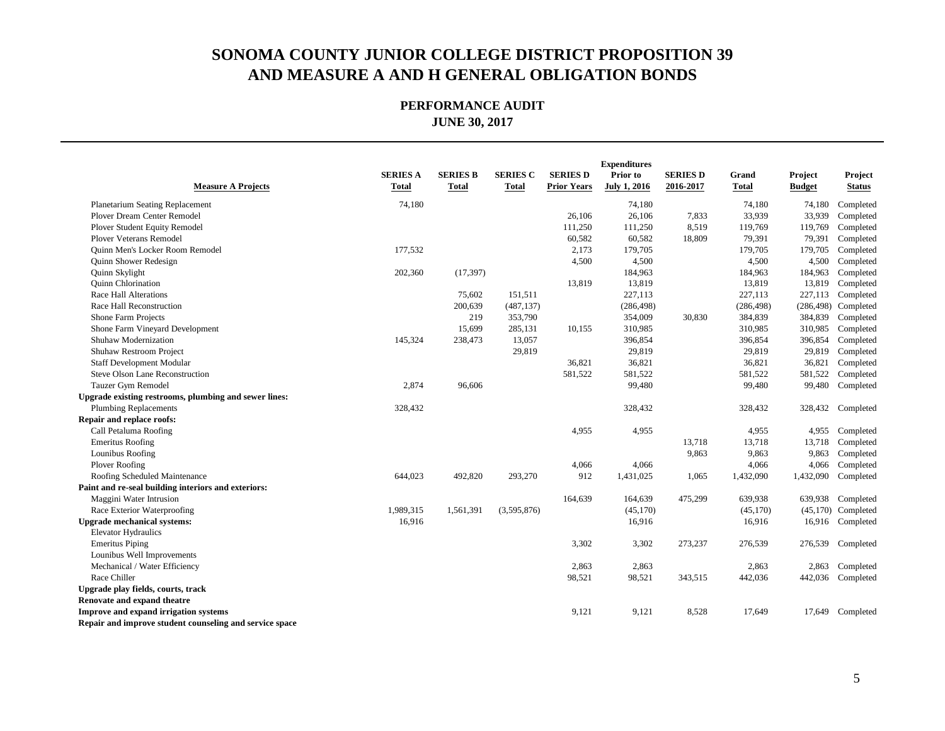|                                                         |                 |                 |                 |                    | <b>Expenditures</b> |                 |              |               |                      |
|---------------------------------------------------------|-----------------|-----------------|-----------------|--------------------|---------------------|-----------------|--------------|---------------|----------------------|
|                                                         | <b>SERIES A</b> | <b>SERIES B</b> | <b>SERIES C</b> | <b>SERIES D</b>    | Prior to            | <b>SERIES D</b> | Grand        | Project       | Project              |
| <b>Measure A Projects</b>                               | Total           | <b>Total</b>    | <b>Total</b>    | <b>Prior Years</b> | <b>July 1, 2016</b> | 2016-2017       | <b>Total</b> | <b>Budget</b> | <b>Status</b>        |
| <b>Planetarium Seating Replacement</b>                  | 74,180          |                 |                 |                    | 74,180              |                 | 74,180       | 74,180        | Completed            |
| Plover Dream Center Remodel                             |                 |                 |                 | 26,106             | 26,106              | 7,833           | 33,939       | 33,939        | Completed            |
| <b>Plover Student Equity Remodel</b>                    |                 |                 |                 | 111,250            | 111,250             | 8,519           | 119,769      | 119,769       | Completed            |
| Plover Veterans Remodel                                 |                 |                 |                 | 60,582             | 60,582              | 18,809          | 79,391       | 79,391        | Completed            |
| <b>Ouinn Men's Locker Room Remodel</b>                  | 177,532         |                 |                 | 2,173              | 179,705             |                 | 179,705      | 179,705       | Completed            |
| Quinn Shower Redesign                                   |                 |                 |                 | 4,500              | 4,500               |                 | 4,500        | 4,500         | Completed            |
| Quinn Skylight                                          | 202,360         | (17, 397)       |                 |                    | 184,963             |                 | 184,963      | 184,963       | Completed            |
| Quinn Chlorination                                      |                 |                 |                 | 13,819             | 13,819              |                 | 13,819       | 13,819        | Completed            |
| Race Hall Alterations                                   |                 | 75,602          | 151,511         |                    | 227,113             |                 | 227,113      | 227,113       | Completed            |
| Race Hall Reconstruction                                |                 | 200,639         | (487, 137)      |                    | (286, 498)          |                 | (286, 498)   | (286, 498)    | Completed            |
| Shone Farm Projects                                     |                 | 219             | 353,790         |                    | 354,009             | 30,830          | 384,839      | 384,839       | Completed            |
| Shone Farm Vineyard Development                         |                 | 15,699          | 285,131         | 10,155             | 310,985             |                 | 310,985      | 310,985       | Completed            |
| Shuhaw Modernization                                    | 145,324         | 238,473         | 13,057          |                    | 396,854             |                 | 396,854      | 396,854       | Completed            |
| Shuhaw Restroom Project                                 |                 |                 | 29,819          |                    | 29,819              |                 | 29,819       | 29,819        | Completed            |
| <b>Staff Development Modular</b>                        |                 |                 |                 | 36,821             | 36,821              |                 | 36,821       | 36,821        | Completed            |
| Steve Olson Lane Reconstruction                         |                 |                 |                 | 581,522            | 581,522             |                 | 581,522      | 581,522       | Completed            |
| Tauzer Gym Remodel                                      | 2,874           | 96,606          |                 |                    | 99,480              |                 | 99,480       | 99,480        | Completed            |
| Upgrade existing restrooms, plumbing and sewer lines:   |                 |                 |                 |                    |                     |                 |              |               |                      |
| <b>Plumbing Replacements</b>                            | 328,432         |                 |                 |                    | 328,432             |                 | 328,432      | 328,432       | Completed            |
| Repair and replace roofs:                               |                 |                 |                 |                    |                     |                 |              |               |                      |
| Call Petaluma Roofing                                   |                 |                 |                 | 4,955              | 4,955               |                 | 4,955        | 4,955         | Completed            |
| <b>Emeritus Roofing</b>                                 |                 |                 |                 |                    |                     | 13,718          | 13,718       | 13,718        | Completed            |
| Lounibus Roofing                                        |                 |                 |                 |                    |                     | 9,863           | 9,863        | 9,863         | Completed            |
| Plover Roofing                                          |                 |                 |                 | 4,066              | 4,066               |                 | 4,066        | 4,066         | Completed            |
| Roofing Scheduled Maintenance                           | 644,023         | 492,820         | 293,270         | 912                | 1,431,025           | 1,065           | 1,432,090    | 1,432,090     | Completed            |
| Paint and re-seal building interiors and exteriors:     |                 |                 |                 |                    |                     |                 |              |               |                      |
| Maggini Water Intrusion                                 |                 |                 |                 | 164,639            | 164,639             | 475,299         | 639,938      |               | 639,938 Completed    |
| Race Exterior Waterproofing                             | 1,989,315       | 1,561,391       | (3,595,876)     |                    | (45, 170)           |                 | (45,170)     |               | $(45,170)$ Completed |
| <b>Upgrade mechanical systems:</b>                      | 16,916          |                 |                 |                    | 16,916              |                 | 16,916       | 16,916        | Completed            |
| <b>Elevator Hydraulics</b>                              |                 |                 |                 |                    |                     |                 |              |               |                      |
| <b>Emeritus Piping</b>                                  |                 |                 |                 | 3,302              | 3,302               | 273,237         | 276,539      | 276,539       | Completed            |
| Lounibus Well Improvements                              |                 |                 |                 |                    |                     |                 |              |               |                      |
| Mechanical / Water Efficiency                           |                 |                 |                 | 2,863              | 2,863               |                 | 2,863        | 2,863         | Completed            |
| Race Chiller                                            |                 |                 |                 | 98,521             | 98,521              | 343,515         | 442,036      | 442,036       | Completed            |
| Upgrade play fields, courts, track                      |                 |                 |                 |                    |                     |                 |              |               |                      |
| Renovate and expand theatre                             |                 |                 |                 |                    |                     |                 |              |               |                      |
| Improve and expand irrigation systems                   |                 |                 |                 | 9,121              | 9,121               | 8,528           | 17,649       |               | 17,649 Completed     |
| Repair and improve student counseling and service space |                 |                 |                 |                    |                     |                 |              |               |                      |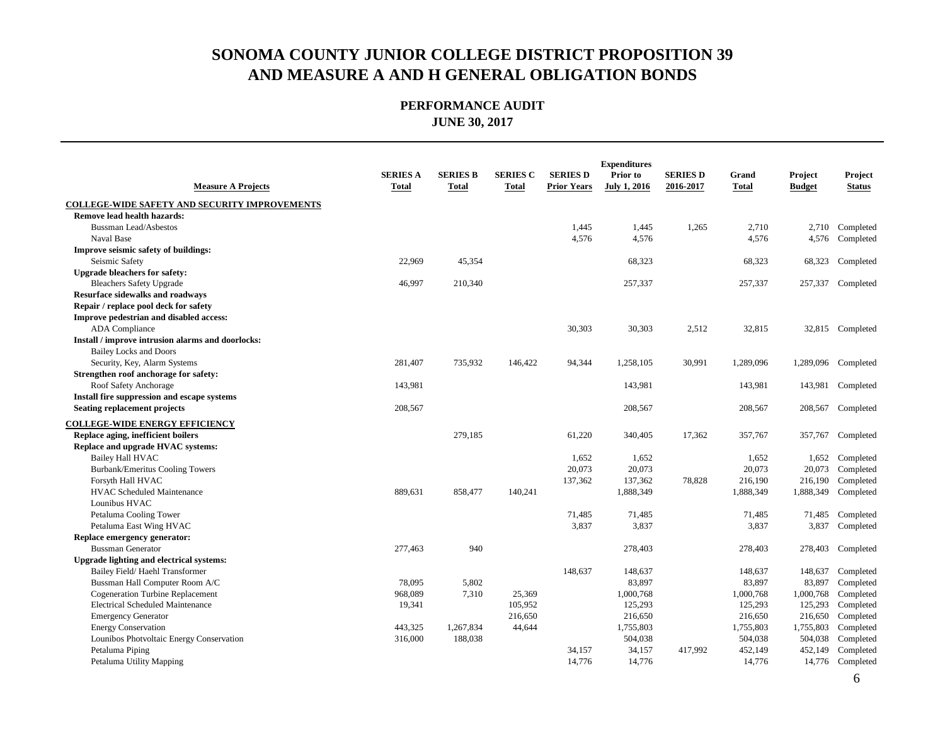| <b>Measure A Projects</b>                            | <b>SERIES A</b><br>Total | <b>SERIES B</b><br><b>Total</b> | <b>SERIES C</b><br>Total | <b>SERIES D</b><br><b>Prior Years</b> | <b>Expenditures</b><br>Prior to<br><b>July 1, 2016</b> | <b>SERIES D</b><br>2016-2017 | Grand<br><b>Total</b> | Project<br><b>Budget</b> | Project<br><b>Status</b> |
|------------------------------------------------------|--------------------------|---------------------------------|--------------------------|---------------------------------------|--------------------------------------------------------|------------------------------|-----------------------|--------------------------|--------------------------|
| <b>COLLEGE-WIDE SAFETY AND SECURITY IMPROVEMENTS</b> |                          |                                 |                          |                                       |                                                        |                              |                       |                          |                          |
| Remove lead health hazards:                          |                          |                                 |                          |                                       |                                                        |                              |                       |                          |                          |
| <b>Bussman Lead/Asbestos</b>                         |                          |                                 |                          | 1,445                                 | 1,445                                                  | 1,265                        | 2,710                 | 2,710                    | Completed                |
| Naval Base                                           |                          |                                 |                          | 4,576                                 | 4,576                                                  |                              | 4,576                 | 4,576                    | Completed                |
| Improve seismic safety of buildings:                 |                          |                                 |                          |                                       |                                                        |                              |                       |                          |                          |
| Seismic Safety                                       | 22,969                   | 45,354                          |                          |                                       | 68,323                                                 |                              | 68,323                | 68,323                   | Completed                |
| <b>Upgrade bleachers for safety:</b>                 |                          |                                 |                          |                                       |                                                        |                              |                       |                          |                          |
| <b>Bleachers Safety Upgrade</b>                      | 46,997                   | 210,340                         |                          |                                       | 257,337                                                |                              | 257,337               | 257,337                  | Completed                |
| <b>Resurface sidewalks and roadways</b>              |                          |                                 |                          |                                       |                                                        |                              |                       |                          |                          |
| Repair / replace pool deck for safety                |                          |                                 |                          |                                       |                                                        |                              |                       |                          |                          |
| Improve pedestrian and disabled access:              |                          |                                 |                          |                                       |                                                        |                              |                       |                          |                          |
| <b>ADA</b> Compliance                                |                          |                                 |                          | 30,303                                | 30,303                                                 | 2,512                        | 32,815                |                          | 32,815 Completed         |
| Install / improve intrusion alarms and doorlocks:    |                          |                                 |                          |                                       |                                                        |                              |                       |                          |                          |
| <b>Bailey Locks and Doors</b>                        |                          |                                 |                          |                                       |                                                        |                              |                       |                          |                          |
| Security, Key, Alarm Systems                         | 281,407                  | 735,932                         | 146,422                  | 94,344                                | 1,258,105                                              | 30,991                       | 1,289,096             |                          | 1,289,096 Completed      |
| Strengthen roof anchorage for safety:                |                          |                                 |                          |                                       |                                                        |                              |                       |                          |                          |
| Roof Safety Anchorage                                | 143,981                  |                                 |                          |                                       | 143,981                                                |                              | 143,981               | 143,981                  | Completed                |
| Install fire suppression and escape systems          |                          |                                 |                          |                                       |                                                        |                              |                       |                          |                          |
| Seating replacement projects                         | 208,567                  |                                 |                          |                                       | 208,567                                                |                              | 208,567               | 208,567                  | Completed                |
| <b>COLLEGE-WIDE ENERGY EFFICIENCY</b>                |                          |                                 |                          |                                       |                                                        |                              |                       |                          |                          |
| Replace aging, inefficient boilers                   |                          | 279,185                         |                          | 61,220                                | 340,405                                                | 17,362                       | 357,767               | 357,767                  | Completed                |
| Replace and upgrade HVAC systems:                    |                          |                                 |                          |                                       |                                                        |                              |                       |                          |                          |
| Bailey Hall HVAC                                     |                          |                                 |                          | 1,652                                 | 1,652                                                  |                              | 1,652                 | 1,652                    | Completed                |
| Burbank/Emeritus Cooling Towers                      |                          |                                 |                          | 20,073                                | 20,073                                                 |                              | 20,073                | 20,073                   | Completed                |
| Forsyth Hall HVAC                                    |                          |                                 |                          | 137,362                               | 137,362                                                | 78,828                       | 216,190               | 216,190                  | Completed                |
| <b>HVAC Scheduled Maintenance</b>                    | 889,631                  | 858,477                         | 140,241                  |                                       | 1,888,349                                              |                              | 1,888,349             | 1,888,349                | Completed                |
| Lounibus HVAC                                        |                          |                                 |                          |                                       |                                                        |                              |                       |                          |                          |
| Petaluma Cooling Tower                               |                          |                                 |                          | 71,485                                | 71,485                                                 |                              | 71,485                | 71,485                   | Completed                |
| Petaluma East Wing HVAC                              |                          |                                 |                          | 3,837                                 | 3,837                                                  |                              | 3,837                 | 3,837                    | Completed                |
| Replace emergency generator:                         |                          |                                 |                          |                                       |                                                        |                              |                       |                          |                          |
| <b>Bussman Generator</b>                             | 277,463                  | 940                             |                          |                                       | 278,403                                                |                              | 278,403               | 278,403                  | Completed                |
| Upgrade lighting and electrical systems:             |                          |                                 |                          |                                       |                                                        |                              |                       |                          |                          |
| Bailey Field/Haehl Transformer                       |                          |                                 |                          | 148,637                               | 148,637                                                |                              | 148,637               | 148,637                  | Completed                |
| Bussman Hall Computer Room A/C                       | 78,095                   | 5,802                           |                          |                                       | 83,897                                                 |                              | 83,897                | 83,897                   | Completed                |
| <b>Cogeneration Turbine Replacement</b>              | 968,089                  | 7,310                           | 25,369                   |                                       | 1,000,768                                              |                              | 1,000,768             | 1,000,768                | Completed                |
| Electrical Scheduled Maintenance                     | 19,341                   |                                 | 105,952                  |                                       | 125,293                                                |                              | 125,293               | 125,293                  | Completed                |
| <b>Emergency Generator</b>                           |                          |                                 | 216,650                  |                                       | 216,650                                                |                              | 216,650               | 216,650                  | Completed                |
| <b>Energy Conservation</b>                           | 443,325                  | 1,267,834                       | 44,644                   |                                       | 1,755,803                                              |                              | 1,755,803             | 1,755,803                | Completed                |
| Lounibos Photvoltaic Energy Conservation             | 316,000                  | 188,038                         |                          |                                       | 504,038                                                |                              | 504,038               | 504,038                  | Completed                |
| Petaluma Piping                                      |                          |                                 |                          | 34,157                                | 34,157                                                 | 417,992                      | 452,149               | 452,149                  | Completed                |
| Petaluma Utility Mapping                             |                          |                                 |                          | 14,776                                | 14,776                                                 |                              | 14,776                |                          | 14,776 Completed         |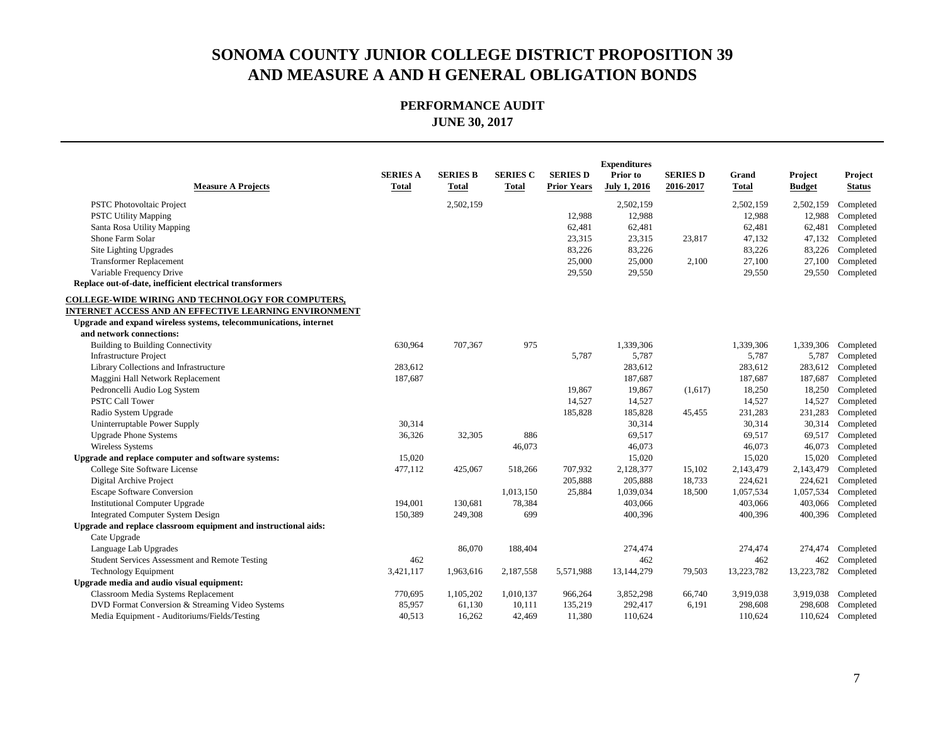| <b>Measure A Projects</b>                                         | <b>SERIES A</b><br><b>Total</b> | <b>SERIES B</b><br><b>Total</b> | <b>SERIES C</b><br><b>Total</b> | <b>SERIES D</b><br><b>Prior Years</b> | <b>Expenditures</b><br>Prior to<br><b>July 1, 2016</b> | <b>SERIES D</b><br>2016-2017 | Grand<br>Total | Project<br><b>Budget</b> | Project<br><b>Status</b> |
|-------------------------------------------------------------------|---------------------------------|---------------------------------|---------------------------------|---------------------------------------|--------------------------------------------------------|------------------------------|----------------|--------------------------|--------------------------|
| <b>PSTC Photovoltaic Project</b>                                  |                                 | 2,502,159                       |                                 |                                       | 2,502,159                                              |                              | 2,502,159      | 2,502,159                | Completed                |
| <b>PSTC Utility Mapping</b>                                       |                                 |                                 |                                 | 12,988                                | 12,988                                                 |                              | 12,988         | 12,988                   | Completed                |
| Santa Rosa Utility Mapping                                        |                                 |                                 |                                 | 62,481                                | 62,481                                                 |                              | 62,481         | 62,481                   | Completed                |
| Shone Farm Solar                                                  |                                 |                                 |                                 | 23,315                                | 23,315                                                 | 23,817                       | 47,132         | 47,132                   | Completed                |
| Site Lighting Upgrades                                            |                                 |                                 |                                 | 83,226                                | 83,226                                                 |                              | 83,226         | 83,226                   | Completed                |
| <b>Transformer Replacement</b>                                    |                                 |                                 |                                 | 25,000                                | 25,000                                                 | 2,100                        | 27,100         | 27,100                   | Completed                |
| Variable Frequency Drive                                          |                                 |                                 |                                 | 29,550                                | 29,550                                                 |                              | 29,550         | 29,550                   | Completed                |
| Replace out-of-date, inefficient electrical transformers          |                                 |                                 |                                 |                                       |                                                        |                              |                |                          |                          |
| COLLEGE-WIDE WIRING AND TECHNOLOGY FOR COMPUTERS,                 |                                 |                                 |                                 |                                       |                                                        |                              |                |                          |                          |
| INTERNET ACCESS AND AN EFFECTIVE LEARNING ENVIRONMENT             |                                 |                                 |                                 |                                       |                                                        |                              |                |                          |                          |
| Upgrade and expand wireless systems, telecommunications, internet |                                 |                                 |                                 |                                       |                                                        |                              |                |                          |                          |
| and network connections:                                          |                                 |                                 |                                 |                                       |                                                        |                              |                |                          |                          |
| <b>Building to Building Connectivity</b>                          | 630,964                         | 707,367                         | 975                             |                                       | 1,339,306                                              |                              | 1,339,306      | 1,339,306                | Completed                |
| <b>Infrastructure Project</b>                                     |                                 |                                 |                                 | 5,787                                 | 5,787                                                  |                              | 5,787          | 5,787                    | Completed                |
| Library Collections and Infrastructure                            | 283,612                         |                                 |                                 |                                       | 283,612                                                |                              | 283,612        | 283,612                  | Completed                |
| Maggini Hall Network Replacement                                  | 187,687                         |                                 |                                 |                                       | 187,687                                                |                              | 187,687        | 187,687                  | Completed                |
| Pedroncelli Audio Log System                                      |                                 |                                 |                                 | 19,867                                | 19,867                                                 | (1,617)                      | 18,250         | 18,250                   | Completed                |
| <b>PSTC Call Tower</b>                                            |                                 |                                 |                                 | 14,527                                | 14,527                                                 |                              | 14,527         | 14,527                   | Completed                |
| Radio System Upgrade                                              |                                 |                                 |                                 | 185,828                               | 185,828                                                | 45,455                       | 231,283        | 231,283                  | Completed                |
| Uninterruptable Power Supply                                      | 30,314                          |                                 |                                 |                                       | 30,314                                                 |                              | 30,314         | 30,314                   | Completed                |
| <b>Upgrade Phone Systems</b>                                      | 36,326                          | 32,305                          | 886                             |                                       | 69,517                                                 |                              | 69,517         | 69,517                   | Completed                |
| Wireless Systems                                                  |                                 |                                 | 46,073                          |                                       | 46,073                                                 |                              | 46,073         | 46,073                   | Completed                |
| Upgrade and replace computer and software systems:                | 15,020                          |                                 |                                 |                                       | 15,020                                                 |                              | 15,020         | 15,020                   | Completed                |
| College Site Software License                                     | 477,112                         | 425,067                         | 518,266                         | 707,932                               | 2,128,377                                              | 15,102                       | 2,143,479      | 2,143,479                | Completed                |
| Digital Archive Project                                           |                                 |                                 |                                 | 205,888                               | 205,888                                                | 18,733                       | 224,621        | 224,621                  | Completed                |
| <b>Escape Software Conversion</b>                                 |                                 |                                 | 1,013,150                       | 25,884                                | 1,039,034                                              | 18,500                       | 1,057,534      | 1,057,534                | Completed                |
| <b>Institutional Computer Upgrade</b>                             | 194,001                         | 130,681                         | 78,384                          |                                       | 403,066                                                |                              | 403,066        | 403,066                  | Completed                |
| <b>Integrated Computer System Design</b>                          | 150,389                         | 249,308                         | 699                             |                                       | 400,396                                                |                              | 400,396        | 400,396                  | Completed                |
| Upgrade and replace classroom equipment and instructional aids:   |                                 |                                 |                                 |                                       |                                                        |                              |                |                          |                          |
| Cate Upgrade                                                      |                                 |                                 |                                 |                                       |                                                        |                              |                |                          |                          |
| Language Lab Upgrades                                             |                                 | 86,070                          | 188,404                         |                                       | 274,474                                                |                              | 274,474        | 274,474                  | Completed                |
| Student Services Assessment and Remote Testing                    | 462                             |                                 |                                 |                                       | 462                                                    |                              | 462            | 462                      | Completed                |
| <b>Technology Equipment</b>                                       | 3,421,117                       | 1,963,616                       | 2,187,558                       | 5,571,988                             | 13,144,279                                             | 79,503                       | 13,223,782     | 13,223,782               | Completed                |
| Upgrade media and audio visual equipment:                         |                                 |                                 |                                 |                                       |                                                        |                              |                |                          |                          |
| Classroom Media Systems Replacement                               | 770,695                         | 1,105,202                       | 1,010,137                       | 966,264                               | 3,852,298                                              | 66,740                       | 3,919,038      | 3,919,038                | Completed                |
| DVD Format Conversion & Streaming Video Systems                   | 85,957                          | 61,130                          | 10,111                          | 135,219                               | 292,417                                                | 6,191                        | 298,608        | 298,608                  | Completed                |
| Media Equipment - Auditoriums/Fields/Testing                      | 40,513                          | 16,262                          | 42,469                          | 11,380                                | 110.624                                                |                              | 110,624        | 110,624                  | Completed                |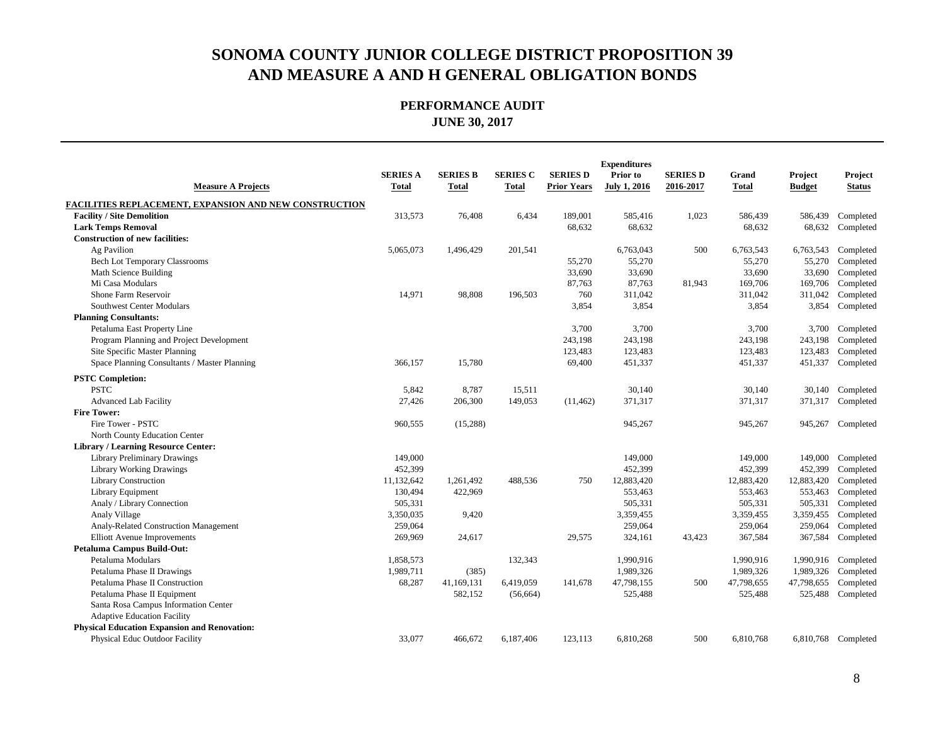| <b>Measure A Projects</b>                                     | <b>SERIES A</b><br><b>Total</b> | <b>SERIES B</b><br>Total | <b>SERIES C</b><br><b>Total</b> | <b>SERIES D</b><br><b>Prior Years</b> | <b>Expenditures</b><br>Prior to<br><b>July 1, 2016</b> | <b>SERIES D</b><br>2016-2017 | Grand<br><b>Total</b> | Project<br><b>Budget</b> | Project<br><b>Status</b> |
|---------------------------------------------------------------|---------------------------------|--------------------------|---------------------------------|---------------------------------------|--------------------------------------------------------|------------------------------|-----------------------|--------------------------|--------------------------|
| <b>FACILITIES REPLACEMENT, EXPANSION AND NEW CONSTRUCTION</b> |                                 |                          |                                 |                                       |                                                        |                              |                       |                          |                          |
| <b>Facility / Site Demolition</b>                             | 313,573                         | 76,408                   | 6,434                           | 189,001                               | 585,416                                                | 1,023                        | 586,439               | 586,439                  | Completed                |
| <b>Lark Temps Removal</b>                                     |                                 |                          |                                 | 68,632                                | 68,632                                                 |                              | 68,632                | 68,632                   | Completed                |
| <b>Construction of new facilities:</b>                        |                                 |                          |                                 |                                       |                                                        |                              |                       |                          |                          |
| Ag Pavilion                                                   | 5,065,073                       | 1,496,429                | 201,541                         |                                       | 6,763,043                                              | 500                          | 6,763,543             | 6,763,543                | Completed                |
| Bech Lot Temporary Classrooms                                 |                                 |                          |                                 | 55,270                                | 55,270                                                 |                              | 55,270                | 55,270                   | Completed                |
| Math Science Building                                         |                                 |                          |                                 | 33,690                                | 33,690                                                 |                              | 33,690                | 33,690                   | Completed                |
| Mi Casa Modulars                                              |                                 |                          |                                 | 87,763                                | 87,763                                                 | 81,943                       | 169,706               | 169,706                  | Completed                |
| Shone Farm Reservoir                                          | 14,971                          | 98,808                   | 196,503                         | 760                                   | 311,042                                                |                              | 311,042               | 311,042                  | Completed                |
| Southwest Center Modulars                                     |                                 |                          |                                 | 3,854                                 | 3,854                                                  |                              | 3,854                 | 3,854                    | Completed                |
| <b>Planning Consultants:</b>                                  |                                 |                          |                                 |                                       |                                                        |                              |                       |                          |                          |
| Petaluma East Property Line                                   |                                 |                          |                                 | 3,700                                 | 3,700                                                  |                              | 3,700                 | 3,700                    | Completed                |
| Program Planning and Project Development                      |                                 |                          |                                 | 243,198                               | 243,198                                                |                              | 243,198               | 243,198                  | Completed                |
| Site Specific Master Planning                                 |                                 |                          |                                 | 123,483                               | 123,483                                                |                              | 123,483               | 123,483                  | Completed                |
| Space Planning Consultants / Master Planning                  | 366,157                         | 15,780                   |                                 | 69,400                                | 451,337                                                |                              | 451,337               | 451,337                  | Completed                |
| <b>PSTC Completion:</b>                                       |                                 |                          |                                 |                                       |                                                        |                              |                       |                          |                          |
| <b>PSTC</b>                                                   | 5,842                           | 8,787                    | 15,511                          |                                       | 30,140                                                 |                              | 30,140                |                          | 30,140 Completed         |
| <b>Advanced Lab Facility</b>                                  | 27,426                          | 206,300                  | 149,053                         | (11, 462)                             | 371,317                                                |                              | 371,317               | 371,317                  | Completed                |
| <b>Fire Tower:</b>                                            |                                 |                          |                                 |                                       |                                                        |                              |                       |                          |                          |
| Fire Tower - PSTC                                             | 960,555                         | (15,288)                 |                                 |                                       | 945,267                                                |                              | 945,267               | 945,267                  | Completed                |
| North County Education Center                                 |                                 |                          |                                 |                                       |                                                        |                              |                       |                          |                          |
| Library / Learning Resource Center:                           |                                 |                          |                                 |                                       |                                                        |                              |                       |                          |                          |
| <b>Library Preliminary Drawings</b>                           | 149,000                         |                          |                                 |                                       | 149,000                                                |                              | 149,000               | 149,000                  | Completed                |
| <b>Library Working Drawings</b>                               | 452,399                         |                          |                                 |                                       | 452,399                                                |                              | 452,399               | 452,399                  | Completed                |
| <b>Library Construction</b>                                   | 11,132,642                      | 1,261,492                | 488,536                         | 750                                   | 12,883,420                                             |                              | 12,883,420            | 12,883,420               | Completed                |
| Library Equipment                                             | 130,494                         | 422,969                  |                                 |                                       | 553,463                                                |                              | 553,463               | 553,463                  | Completed                |
| Analy / Library Connection                                    | 505,331                         |                          |                                 |                                       | 505,331                                                |                              | 505,331               | 505,331                  | Completed                |
| Analy Village                                                 | 3,350,035                       | 9,420                    |                                 |                                       | 3,359,455                                              |                              | 3,359,455             | 3,359,455                | Completed                |
| Analy-Related Construction Management                         | 259,064                         |                          |                                 |                                       | 259,064                                                |                              | 259,064               | 259,064                  | Completed                |
| Elliott Avenue Improvements                                   | 269,969                         | 24,617                   |                                 | 29,575                                | 324,161                                                | 43,423                       | 367,584               | 367,584                  | Completed                |
| Petaluma Campus Build-Out:                                    |                                 |                          |                                 |                                       |                                                        |                              |                       |                          |                          |
| Petaluma Modulars                                             | 1,858,573                       |                          | 132,343                         |                                       | 1,990,916                                              |                              | 1,990,916             |                          | 1,990,916 Completed      |
| Petaluma Phase II Drawings                                    | 1,989,711                       | (385)                    |                                 |                                       | 1,989,326                                              |                              | 1,989,326             | 1,989,326                | Completed                |
| Petaluma Phase II Construction                                | 68,287                          | 41,169,131               | 6,419,059                       | 141,678                               | 47,798,155                                             | 500                          | 47,798,655            | 47,798,655               | Completed                |
| Petaluma Phase II Equipment                                   |                                 | 582,152                  | (56, 664)                       |                                       | 525,488                                                |                              | 525,488               | 525,488                  | Completed                |
| Santa Rosa Campus Information Center                          |                                 |                          |                                 |                                       |                                                        |                              |                       |                          |                          |
| <b>Adaptive Education Facility</b>                            |                                 |                          |                                 |                                       |                                                        |                              |                       |                          |                          |
| <b>Physical Education Expansion and Renovation:</b>           |                                 |                          |                                 |                                       |                                                        |                              |                       |                          |                          |
| Physical Educ Outdoor Facility                                | 33,077                          | 466,672                  | 6,187,406                       | 123,113                               | 6,810,268                                              | 500                          | 6,810,768             |                          | 6,810,768 Completed      |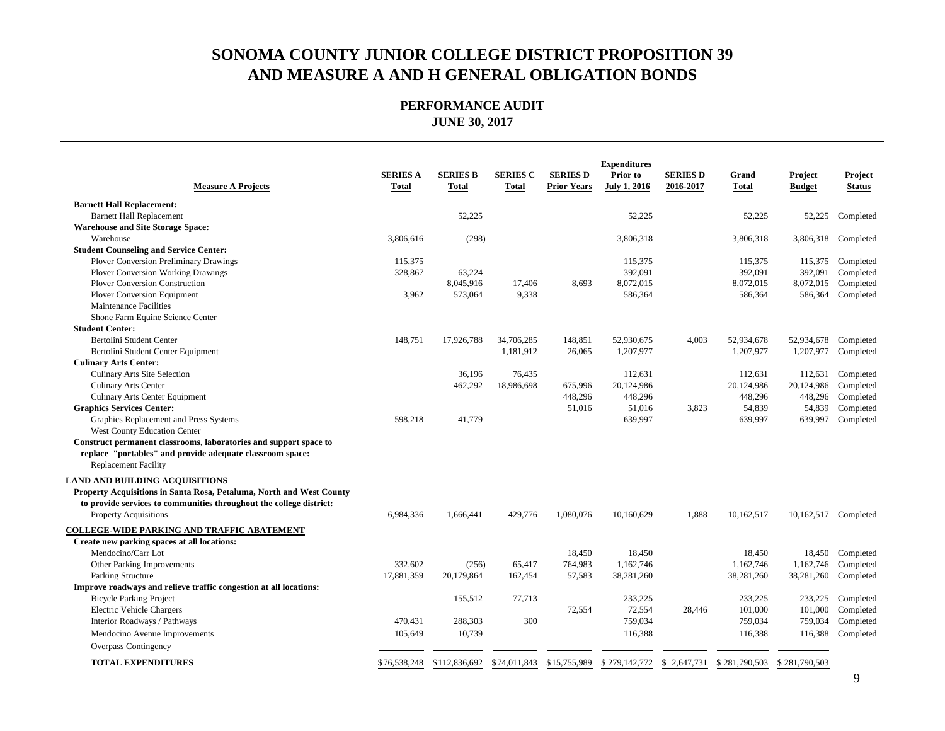| <b>Measure A Projects</b>                                            | <b>SERIES A</b><br><b>Total</b> | <b>SERIES B</b><br><b>Total</b> | <b>SERIES C</b><br><b>Total</b> | <b>SERIES D</b><br><b>Prior Years</b> | <b>Expenditures</b><br>Prior to<br><b>July 1, 2016</b> | <b>SERIES D</b><br>2016-2017 | Grand<br><b>Total</b> | Project<br><b>Budget</b> | Project<br><b>Status</b> |
|----------------------------------------------------------------------|---------------------------------|---------------------------------|---------------------------------|---------------------------------------|--------------------------------------------------------|------------------------------|-----------------------|--------------------------|--------------------------|
| <b>Barnett Hall Replacement:</b>                                     |                                 |                                 |                                 |                                       |                                                        |                              |                       |                          |                          |
| <b>Barnett Hall Replacement</b>                                      |                                 | 52,225                          |                                 |                                       | 52,225                                                 |                              | 52,225                | 52,225                   | Completed                |
| <b>Warehouse and Site Storage Space:</b>                             |                                 |                                 |                                 |                                       |                                                        |                              |                       |                          |                          |
| Warehouse                                                            | 3,806,616                       | (298)                           |                                 |                                       | 3,806,318                                              |                              | 3,806,318             | 3,806,318                | Completed                |
| <b>Student Counseling and Service Center:</b>                        |                                 |                                 |                                 |                                       |                                                        |                              |                       |                          |                          |
| <b>Plover Conversion Preliminary Drawings</b>                        | 115,375                         |                                 |                                 |                                       | 115,375                                                |                              | 115,375               |                          | 115,375 Completed        |
| <b>Plover Conversion Working Drawings</b>                            | 328,867                         | 63,224                          |                                 |                                       | 392,091                                                |                              | 392,091               | 392,091                  | Completed                |
| <b>Plover Conversion Construction</b>                                |                                 | 8,045,916                       | 17,406                          | 8,693                                 | 8,072,015                                              |                              | 8,072,015             | 8,072,015                | Completed                |
| <b>Plover Conversion Equipment</b>                                   | 3,962                           | 573,064                         | 9,338                           |                                       | 586,364                                                |                              | 586,364               | 586,364                  | Completed                |
| <b>Maintenance Facilities</b>                                        |                                 |                                 |                                 |                                       |                                                        |                              |                       |                          |                          |
| Shone Farm Equine Science Center                                     |                                 |                                 |                                 |                                       |                                                        |                              |                       |                          |                          |
| <b>Student Center:</b>                                               |                                 |                                 |                                 |                                       |                                                        |                              |                       |                          |                          |
| Bertolini Student Center                                             | 148,751                         | 17,926,788                      | 34,706,285                      | 148,851                               | 52,930,675                                             | 4,003                        | 52,934,678            | 52,934,678               | Completed                |
| Bertolini Student Center Equipment                                   |                                 |                                 | 1,181,912                       | 26,065                                | 1,207,977                                              |                              | 1,207,977             | 1,207,977                | Completed                |
| <b>Culinary Arts Center:</b>                                         |                                 |                                 |                                 |                                       |                                                        |                              |                       |                          |                          |
| Culinary Arts Site Selection                                         |                                 | 36,196                          | 76,435                          |                                       | 112,631                                                |                              | 112,631               | 112,631                  | Completed                |
| <b>Culinary Arts Center</b>                                          |                                 | 462,292                         | 18,986,698                      | 675,996                               | 20,124,986                                             |                              | 20,124,986            | 20,124,986               | Completed                |
| Culinary Arts Center Equipment                                       |                                 |                                 |                                 | 448,296                               | 448,296                                                |                              | 448,296               | 448,296                  | Completed                |
| <b>Graphics Services Center:</b>                                     |                                 |                                 |                                 | 51,016                                | 51,016                                                 | 3,823                        | 54,839                | 54,839                   | Completed                |
| Graphics Replacement and Press Systems                               | 598,218                         | 41,779                          |                                 |                                       | 639,997                                                |                              | 639,997               | 639,997                  | Completed                |
| West County Education Center                                         |                                 |                                 |                                 |                                       |                                                        |                              |                       |                          |                          |
| Construct permanent classrooms, laboratories and support space to    |                                 |                                 |                                 |                                       |                                                        |                              |                       |                          |                          |
| replace "portables" and provide adequate classroom space:            |                                 |                                 |                                 |                                       |                                                        |                              |                       |                          |                          |
| <b>Replacement Facility</b>                                          |                                 |                                 |                                 |                                       |                                                        |                              |                       |                          |                          |
| <b>LAND AND BUILDING ACQUISITIONS</b>                                |                                 |                                 |                                 |                                       |                                                        |                              |                       |                          |                          |
| Property Acquisitions in Santa Rosa, Petaluma, North and West County |                                 |                                 |                                 |                                       |                                                        |                              |                       |                          |                          |
| to provide services to communities throughout the college district:  |                                 |                                 |                                 |                                       |                                                        |                              |                       |                          |                          |
| <b>Property Acquisitions</b>                                         | 6,984,336                       | 1,666,441                       | 429,776                         | 1,080,076                             | 10,160,629                                             | 1,888                        | 10,162,517            | 10,162,517 Completed     |                          |
| <b>COLLEGE-WIDE PARKING AND TRAFFIC ABATEMENT</b>                    |                                 |                                 |                                 |                                       |                                                        |                              |                       |                          |                          |
| Create new parking spaces at all locations:                          |                                 |                                 |                                 |                                       |                                                        |                              |                       |                          |                          |
| Mendocino/Carr Lot                                                   |                                 |                                 |                                 | 18,450                                | 18.450                                                 |                              | 18,450                | 18,450                   | Completed                |
| Other Parking Improvements                                           | 332,602                         | (256)                           | 65,417                          | 764,983                               | 1,162,746                                              |                              | 1,162,746             | 1,162,746                | Completed                |
| Parking Structure                                                    | 17,881,359                      | 20,179,864                      | 162,454                         | 57,583                                | 38,281,260                                             |                              | 38,281,260            | 38,281,260               | Completed                |
| Improve roadways and relieve traffic congestion at all locations:    |                                 |                                 |                                 |                                       |                                                        |                              |                       |                          |                          |
| <b>Bicycle Parking Project</b>                                       |                                 | 155,512                         | 77,713                          |                                       | 233,225                                                |                              | 233,225               | 233,225                  | Completed                |
| Electric Vehicle Chargers                                            |                                 |                                 |                                 | 72,554                                | 72,554                                                 | 28,446                       | 101,000               | 101,000                  | Completed                |
| Interior Roadways / Pathways                                         | 470,431                         | 288,303                         | 300                             |                                       | 759,034                                                |                              | 759,034               | 759,034                  | Completed                |
| Mendocino Avenue Improvements                                        | 105,649                         | 10,739                          |                                 |                                       | 116,388                                                |                              | 116,388               | 116,388                  | Completed                |
| Overpass Contingency                                                 |                                 |                                 |                                 |                                       |                                                        |                              |                       |                          |                          |
|                                                                      |                                 |                                 |                                 |                                       |                                                        |                              |                       |                          |                          |
| <b>TOTAL EXPENDITURES</b>                                            | \$76,538,248                    | \$112,836,692                   | \$74,011,843                    | \$15,755,989                          | \$279,142,772                                          | \$2,647,731                  | \$281,790,503         | \$281,790,503            |                          |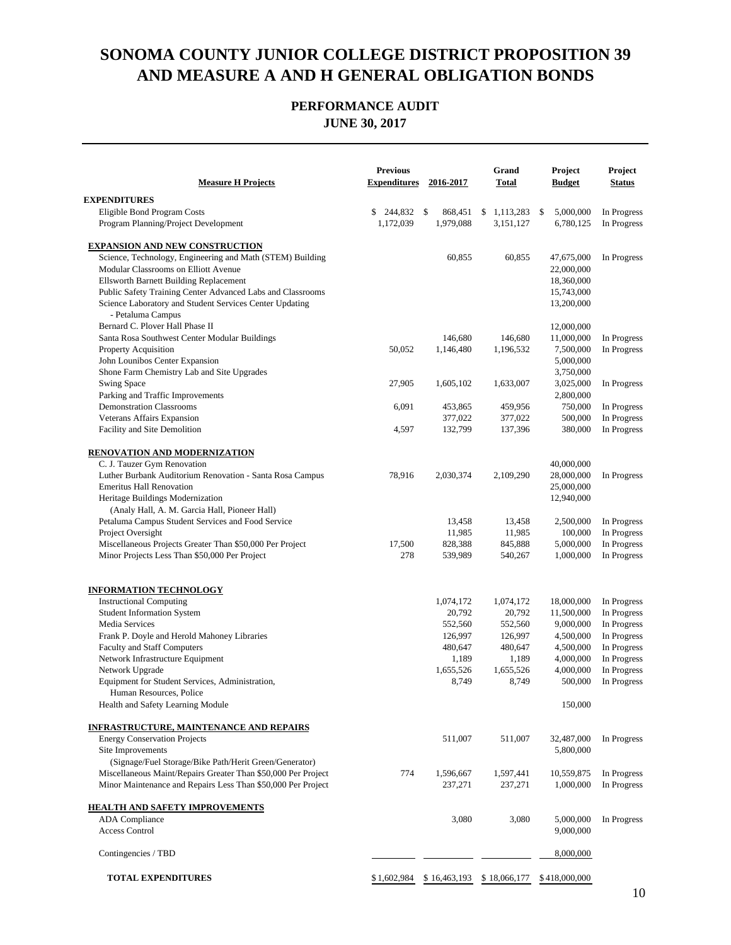| <b>Measure H Projects</b>                                          | <b>Previous</b><br><b>Expenditures</b> | 2016-2017          | Grand<br><b>Total</b> | Project<br><b>Budget</b> | Project<br><b>Status</b>   |
|--------------------------------------------------------------------|----------------------------------------|--------------------|-----------------------|--------------------------|----------------------------|
| <b>EXPENDITURES</b>                                                |                                        |                    |                       |                          |                            |
| Eligible Bond Program Costs                                        | 244,832<br>\$                          | \$<br>868,451      | 1,113,283<br>\$       | \$<br>5,000,000          | In Progress                |
| Program Planning/Project Development                               | 1,172,039                              | 1,979,088          | 3,151,127             | 6,780,125                | In Progress                |
| <b>EXPANSION AND NEW CONSTRUCTION</b>                              |                                        |                    |                       |                          |                            |
| Science, Technology, Engineering and Math (STEM) Building          |                                        | 60,855             | 60,855                | 47,675,000               | In Progress                |
| Modular Classrooms on Elliott Avenue                               |                                        |                    |                       | 22,000,000               |                            |
| Ellsworth Barnett Building Replacement                             |                                        |                    |                       | 18,360,000               |                            |
| Public Safety Training Center Advanced Labs and Classrooms         |                                        |                    |                       | 15,743,000               |                            |
| Science Laboratory and Student Services Center Updating            |                                        |                    |                       | 13,200,000               |                            |
| - Petaluma Campus                                                  |                                        |                    |                       |                          |                            |
| Bernard C. Plover Hall Phase II                                    |                                        |                    |                       | 12,000,000               |                            |
| Santa Rosa Southwest Center Modular Buildings                      |                                        | 146,680            | 146,680               | 11,000,000               | In Progress                |
| Property Acquisition                                               | 50,052                                 | 1,146,480          | 1,196,532             | 7,500,000                | In Progress                |
| John Lounibos Center Expansion                                     |                                        |                    |                       | 5,000,000                |                            |
| Shone Farm Chemistry Lab and Site Upgrades<br>Swing Space          | 27,905                                 | 1,605,102          | 1,633,007             | 3,750,000                | In Progress                |
| Parking and Traffic Improvements                                   |                                        |                    |                       | 3,025,000<br>2,800,000   |                            |
| <b>Demonstration Classrooms</b>                                    | 6,091                                  | 453,865            | 459,956               | 750,000                  | In Progress                |
| Veterans Affairs Expansion                                         |                                        | 377,022            | 377,022               | 500,000                  | In Progress                |
| Facility and Site Demolition                                       | 4,597                                  | 132,799            | 137,396               | 380,000                  | In Progress                |
|                                                                    |                                        |                    |                       |                          |                            |
| <b>RENOVATION AND MODERNIZATION</b><br>C. J. Tauzer Gym Renovation |                                        |                    |                       | 40,000,000               |                            |
| Luther Burbank Auditorium Renovation - Santa Rosa Campus           | 78,916                                 | 2,030,374          | 2,109,290             | 28,000,000               | In Progress                |
| <b>Emeritus Hall Renovation</b>                                    |                                        |                    |                       | 25,000,000               |                            |
| Heritage Buildings Modernization                                   |                                        |                    |                       | 12,940,000               |                            |
| (Analy Hall, A. M. Garcia Hall, Pioneer Hall)                      |                                        |                    |                       |                          |                            |
| Petaluma Campus Student Services and Food Service                  |                                        | 13,458             | 13,458                | 2,500,000                | In Progress                |
| Project Oversight                                                  |                                        | 11,985             | 11,985                | 100,000                  | In Progress                |
| Miscellaneous Projects Greater Than \$50,000 Per Project           | 17,500                                 | 828,388            | 845,888               | 5,000,000                | In Progress                |
| Minor Projects Less Than \$50,000 Per Project                      | 278                                    | 539,989            | 540,267               | 1,000,000                | In Progress                |
|                                                                    |                                        |                    |                       |                          |                            |
| <b>INFORMATION TECHNOLOGY</b>                                      |                                        |                    |                       |                          |                            |
| <b>Instructional Computing</b>                                     |                                        | 1,074,172          | 1,074,172             | 18,000,000               | In Progress                |
| <b>Student Information System</b><br><b>Media Services</b>         |                                        | 20,792             | 20,792                | 11,500,000               | In Progress                |
| Frank P. Doyle and Herold Mahoney Libraries                        |                                        | 552,560            | 552,560               | 9,000,000                | In Progress<br>In Progress |
| Faculty and Staff Computers                                        |                                        | 126,997<br>480,647 | 126,997<br>480,647    | 4,500,000<br>4,500,000   | In Progress                |
| Network Infrastructure Equipment                                   |                                        | 1,189              | 1,189                 | 4,000,000                | In Progress                |
| Network Upgrade                                                    |                                        | 1,655,526          | 1,655,526             | 4,000,000                | In Progress                |
| Equipment for Student Services, Administration,                    |                                        | 8,749              | 8,749                 | 500,000                  | In Progress                |
| Human Resources, Police                                            |                                        |                    |                       |                          |                            |
| Health and Safety Learning Module                                  |                                        |                    |                       | 150,000                  |                            |
| <b>INFRASTRUCTURE, MAINTENANCE AND REPAIRS</b>                     |                                        |                    |                       |                          |                            |
| <b>Energy Conservation Projects</b>                                |                                        | 511,007            | 511,007               | 32,487,000               | In Progress                |
| Site Improvements                                                  |                                        |                    |                       | 5,800,000                |                            |
| (Signage/Fuel Storage/Bike Path/Herit Green/Generator)             |                                        |                    |                       |                          |                            |
| Miscellaneous Maint/Repairs Greater Than \$50,000 Per Project      | 774                                    | 1,596,667          | 1,597,441             | 10,559,875               | In Progress                |
| Minor Maintenance and Repairs Less Than \$50,000 Per Project       |                                        | 237,271            | 237,271               | 1,000,000                | In Progress                |
| <b>HEALTH AND SAFETY IMPROVEMENTS</b>                              |                                        |                    |                       |                          |                            |
| <b>ADA</b> Compliance                                              |                                        | 3,080              | 3,080                 | 5,000,000                | In Progress                |
| <b>Access Control</b>                                              |                                        |                    |                       | 9,000,000                |                            |
| Contingencies / TBD                                                |                                        |                    |                       | 8,000,000                |                            |
| <b>TOTAL EXPENDITURES</b>                                          | \$1,602,984                            | \$16,463,193       | \$18,066,177          | \$418,000,000            |                            |